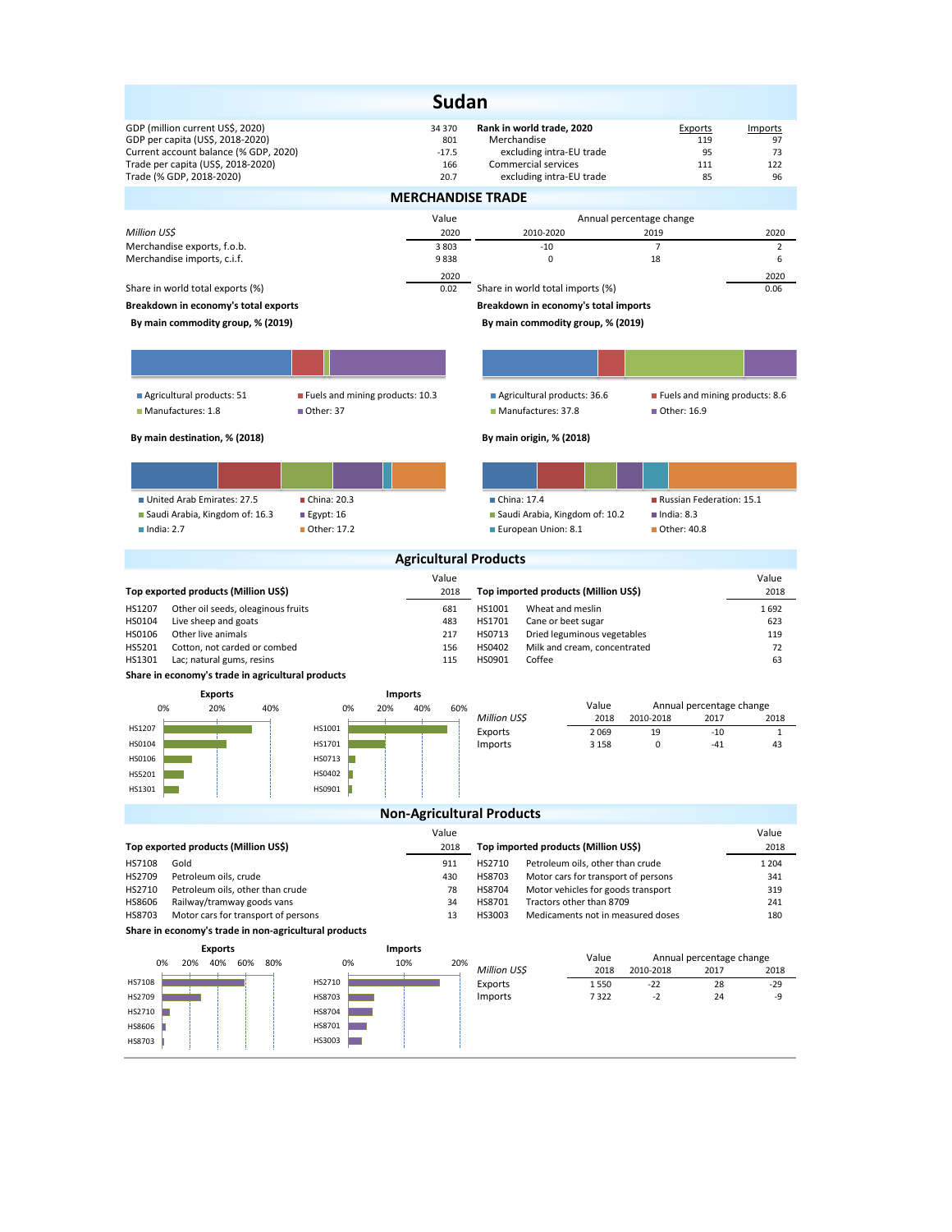|                                                                                                                                                                                 | <b>Sudan</b>                                                                    |                                                                                                                         |                                                       |                                  |
|---------------------------------------------------------------------------------------------------------------------------------------------------------------------------------|---------------------------------------------------------------------------------|-------------------------------------------------------------------------------------------------------------------------|-------------------------------------------------------|----------------------------------|
| GDP (million current US\$, 2020)<br>GDP per capita (US\$, 2018-2020)<br>Current account balance (% GDP, 2020)<br>Trade per capita (US\$, 2018-2020)<br>Trade (% GDP, 2018-2020) | 34 370<br>801<br>$-17.5$<br>166<br>20.7                                         | Rank in world trade, 2020<br>Merchandise<br>excluding intra-EU trade<br>Commercial services<br>excluding intra-EU trade | Exports<br>119<br>95<br>111<br>85                     | Imports<br>97<br>73<br>122<br>96 |
|                                                                                                                                                                                 | <b>MERCHANDISE TRADE</b>                                                        |                                                                                                                         |                                                       |                                  |
| Million US\$                                                                                                                                                                    | Value<br>2020                                                                   | 2010-2020                                                                                                               | Annual percentage change<br>2019                      | 2020                             |
| Merchandise exports, f.o.b.<br>Merchandise imports, c.i.f.                                                                                                                      | 3 8 0 3<br>9838                                                                 | $-10$<br>0                                                                                                              | $\overline{7}$<br>18                                  | $\overline{2}$<br>6              |
| Share in world total exports (%)                                                                                                                                                | 2020<br>0.02                                                                    | Share in world total imports (%)                                                                                        |                                                       | 2020<br>0.06                     |
| Breakdown in economy's total exports                                                                                                                                            |                                                                                 | Breakdown in economy's total imports                                                                                    |                                                       |                                  |
| By main commodity group, % (2019)                                                                                                                                               |                                                                                 | By main commodity group, % (2019)                                                                                       |                                                       |                                  |
|                                                                                                                                                                                 |                                                                                 |                                                                                                                         |                                                       |                                  |
| Agricultural products: 51<br>Fuels and mining products: 10.3<br>Manufactures: 1.8<br>Other: 37                                                                                  |                                                                                 | Agricultural products: 36.6<br>Manufactures: 37.8                                                                       | Fuels and mining products: 8.6<br>■ Other: 16.9       |                                  |
| By main destination, % (2018)                                                                                                                                                   |                                                                                 | By main origin, % (2018)                                                                                                |                                                       |                                  |
|                                                                                                                                                                                 |                                                                                 |                                                                                                                         |                                                       |                                  |
| United Arab Emirates: 27.5<br>China: 20.3<br>Saudi Arabia, Kingdom of: 16.3<br>$E$ gypt: 16<br>$\blacksquare$ India: 2.7<br>■ Other: 17.2                                       |                                                                                 | China: 17.4<br>Saudi Arabia, Kingdom of: 10.2<br>European Union: 8.1                                                    | Russian Federation: 15.1<br>India: 8.3<br>Other: 40.8 |                                  |
|                                                                                                                                                                                 | <b>Agricultural Products</b>                                                    |                                                                                                                         |                                                       |                                  |
|                                                                                                                                                                                 | Value                                                                           |                                                                                                                         |                                                       | Value                            |
| Top exported products (Million US\$)                                                                                                                                            | 2018                                                                            | Top imported products (Million US\$)                                                                                    |                                                       | 2018                             |
| HS1207<br>Other oil seeds, oleaginous fruits<br>HS0104<br>Live sheep and goats                                                                                                  | 681<br>483                                                                      | HS1001<br>Wheat and meslin<br>HS1701<br>Cane or beet sugar                                                              |                                                       | 1692<br>623                      |
| HS0106<br>Other live animals                                                                                                                                                    | 217                                                                             | HS0713<br>Dried leguminous vegetables                                                                                   | 119                                                   |                                  |
| HS5201<br>Cotton, not carded or combed<br>HS1301<br>Lac; natural gums, resins                                                                                                   | 156<br>115                                                                      | HS0402<br>Milk and cream, concentrated<br>HS0901<br>Coffee                                                              | 72<br>63                                              |                                  |
| Share in economy's trade in agricultural products                                                                                                                               |                                                                                 |                                                                                                                         |                                                       |                                  |
| <b>Exports</b>                                                                                                                                                                  | <b>Imports</b>                                                                  |                                                                                                                         |                                                       |                                  |
| 0%<br>20%<br>40%<br>0%<br>20%                                                                                                                                                   | 40%<br>60%                                                                      | Value<br>Million US\$<br>2018                                                                                           | Annual percentage change<br>2010-2018<br>2017         | 2018                             |
| HS1207<br>HS1001                                                                                                                                                                |                                                                                 | Exports<br>2069                                                                                                         | 19<br>$-10$                                           | $\mathbf{1}$                     |
| HS1701<br>HS0104                                                                                                                                                                |                                                                                 | Imports<br>3 1 5 8                                                                                                      | 0<br>$-41$                                            | 43                               |
| HS0106<br>HS0713<br>HS5201<br>HS0402                                                                                                                                            |                                                                                 |                                                                                                                         |                                                       |                                  |
| HS0901<br>HS1301                                                                                                                                                                |                                                                                 |                                                                                                                         |                                                       |                                  |
|                                                                                                                                                                                 |                                                                                 | <b>Non-Agricultural Products</b>                                                                                        |                                                       |                                  |
|                                                                                                                                                                                 | Value                                                                           |                                                                                                                         |                                                       | Value                            |
| Top exported products (Million US\$)                                                                                                                                            | 2018                                                                            | Top imported products (Million US\$)                                                                                    |                                                       | 2018                             |
| HS7108<br>Gold                                                                                                                                                                  | 911                                                                             | HS2710<br>Petroleum oils, other than crude                                                                              |                                                       | 1 2 0 4                          |
| HS2709<br>Petroleum oils, crude<br>HS2710<br>Petroleum oils, other than crude                                                                                                   | 430<br>78                                                                       | HS8703<br>Motor cars for transport of persons<br>HS8704                                                                 |                                                       | 341<br>319                       |
| HS8606<br>Railway/tramway goods vans                                                                                                                                            | Motor vehicles for goods transport<br>Tractors other than 8709<br>HS8701<br>241 |                                                                                                                         |                                                       |                                  |
| HS8703<br>Motor cars for transport of persons                                                                                                                                   | 13                                                                              | HS3003<br>Medicaments not in measured doses                                                                             |                                                       | 180                              |
| Share in economy's trade in non-agricultural products                                                                                                                           |                                                                                 |                                                                                                                         |                                                       |                                  |
| <b>Exports</b>                                                                                                                                                                  | <b>Imports</b><br>10%<br>20%                                                    | Value                                                                                                                   | Annual percentage change                              |                                  |
| 0%<br>20%<br>40% 60% 80%<br>0%                                                                                                                                                  |                                                                                 | Million US\$<br>2018                                                                                                    | 2010-2018<br>2017                                     | 2018                             |
| HS2710<br>HS7108<br>HS8703<br>HS2709                                                                                                                                            |                                                                                 | 1550<br>Exports<br>Imports<br>7322                                                                                      | $-22$<br>28<br>$-2$<br>24                             | $-29$<br>-9                      |
| HS8704<br>HS2710                                                                                                                                                                |                                                                                 |                                                                                                                         |                                                       |                                  |
| HS8701<br>HS8606                                                                                                                                                                |                                                                                 |                                                                                                                         |                                                       |                                  |
| HS3003<br>HS8703                                                                                                                                                                |                                                                                 |                                                                                                                         |                                                       |                                  |
|                                                                                                                                                                                 |                                                                                 |                                                                                                                         |                                                       |                                  |